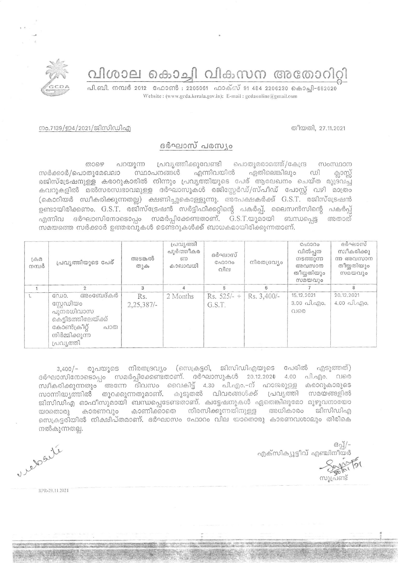വിശാല കൊച്ചി വികസന അതോറിറ്റി



നം.7139/ഇ4/2021/ജിസിഡിഎ

## തീയതി, 27,11,2021

## ദർഘാസ് പരസ്യം

லை പറയുന്ന പ്രവൃത്തിക്കുവേണ്ടി പൊതുമരാമത്ത്/കേന്ദ്ര സംസ്ഥാന സർക്കാർ/പൊതുമേഖലാ സ്ഥാപനങ്ങൾ എന്നിവയിൽ ഏതിലെങ്കിലും ഡി രജിസ്ട്രേഷനുള്ള കരാറുകാരിൽ നിന്നും പ്രവൃത്തിയുടെ പേര് ആലേഖനം ചെയ്ത മുദ്രവച്ച കവറുകളിൽ മൽസരസ്വഭാവമുള്ള ദർഘാസുകൾ രജിസ്റ്റേർഡ്/സ്പീഡ് പോസ്റ്റ് വഴി മാത്രം (കൊറിയർ സ്ഥീകരിക്കുന്നതല്ല) ക്ഷണിച്ചുകൊള്ളുന്നു. അപേക്ഷകർക്ക് G.S.T. രജിസ്ട്രേഷൻ ഉണ്ടായിരിക്കണം. G.S.T. രജിസ്ട്രേഷൻ സർട്ടിഫിക്കറ്റിന്റെ പകർപ്പ്, ലൈസൻസിന്റെ പകർപ്പ് എന്നിവ ദർഘാസിനോടൊപ്പം സമർപ്പിക്കേണ്ടതാണ്. G.S.T.യുമായി ബന്ധപ്പെട്ട അതാത് സമയത്തെ സർക്കാർ ഉത്തരവുകൾ ടെണ്ടറുകൾക്ക് ബാധകമായിരിക്കുന്നതാണ്.

| $L \oplus \Omega$<br>നമ്പർ | പ്രവൃത്തിയുടെ പേര്                                                                                                        | അടങ്കൽ<br>തുക       | പ്രവൃത്തി<br>പൂർത്തീകര<br><sub>5</sub> m<br>കാലാവധി | ദർഘാസ്<br>C <sub>0</sub> 000<br>വില | നിരതദ്രവ്യം | C <sub>0</sub> 000<br>വിൽപ്പന<br>നടത്തുന്ന<br>അവസാന<br>തീയ്യതിയും<br>സമയവും | ദർഘാസ്<br>സ്വീകരിക്കു<br>ന്ന അവസാന<br>തീയ്യതിയും<br>സമയവും |
|----------------------------|---------------------------------------------------------------------------------------------------------------------------|---------------------|-----------------------------------------------------|-------------------------------------|-------------|-----------------------------------------------------------------------------|------------------------------------------------------------|
|                            |                                                                                                                           | 3                   |                                                     | 5                                   | 6           |                                                                             | 8                                                          |
| 1.                         | അംബേദ്കർ<br>GNUO.<br>സ്റ്റേഡിയം<br>പുനരധിവാസ<br>കെട്ടിടത്തിലേയ്ക്ക്<br>കോൺക്രീറ്റ്<br>പാത<br>നിർമ്മിക്കുന്ന<br>പ്രവ്യത്തി | Rs.<br>$2,25,387/-$ | 2 Months                                            | $Rs. 525/- +$<br>G.S.T.             | Rs. 3,400/- | 15.12.2021<br>3.00 പി.എo.<br>വരെ                                            | 20, 12, 2021<br>$4.00 \text{ }\hat{}1.\hat{}0.00.$         |

3,400/- രൂപയുടെ നിരതദ്രവ്യം (സെക്രട്ടറി, ജിസിഡിഎയുടെ പേരിൽ എടുത്തത്) ദർഘാസിനോടൊപ്പം സമർപ്പിക്കേണ്ടതാണ്. ദർഘാസുകൾ 20.12.202♦ 4.00 പി.എം. വരെ സ്ഥീകരിക്കുന്നതും അന്നേ ദിവസം വൈകിട്ട് 4.30 പി.എം.-ന് ഹാജരുള്ള കരാറുകാരുടെ സാന്നിദ്ധ്യത്തിൽ തുറക്കുന്നതുമാണ്. കൂടുതൽ വിവരങ്ങൾക്ക് പ്രവൃത്തി സമയങ്ങളിൽ ജിസിഡിഎ ഓഫീസുമായി ബന്ധപ്പെടേണ്ടതാണ്. ക്വട്ടേഷനുകൾ ഏതെങ്കിലുമോ മുഴുവനായോ യാതൊരു കാരണവും കാണിക്കാതെ നിരസിക്കുന്നതിനുള്ള അധികാരം ജിസിഡിഎ സെക്രട്ടരിയിൽ നിക്ഷിപ്തമാണ്. ദർഘാസം ഫോറം വില യാതൊരു കാരണവശാലും തിരികെ നൽകുന്നതല്ല.

 $BQ$ എക്സിക്യൂട്ടീവ് എഞ്ചിനീയർ

സൂപ്രണ്ട്

ule le suite